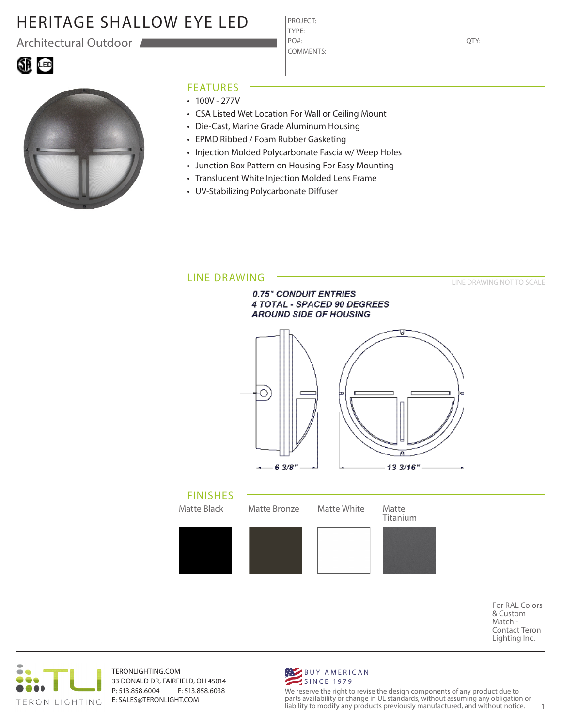# HERITAGE SHALLOW EYE LED

Architectural Outdoor



### FEATURES

- $\cdot$  100V 277V
- CSA Listed Wet Location For Wall or Ceiling Mount

PROJECT: TYPE:

PO#:

COMMENTS:

- Die-Cast, Marine Grade Aluminum Housing
- EPMD Ribbed / Foam Rubber Gasketing
- Injection Molded Polycarbonate Fascia w/ Weep Holes
- Junction Box Pattern on Housing For Easy Mounting
- Translucent White Injection Molded Lens Frame
- UV-Stabilizing Polycarbonate Diffuser



For RAL Colors & Custom Match - Contact Teron Lighting Inc.

QTY:



TERONLIGHTING.COM 33 DONALD DR, FAIRFIELD, OH 45014 P: 513.858.6004 F: 513.858.6038 E: SALES@TERONLIGHT.COM



We reserve the right to revise the design components of any product due to parts availability or change in UL standards, without assuming any obligation or liability to modify any products previously manufactured, and without notice. 1